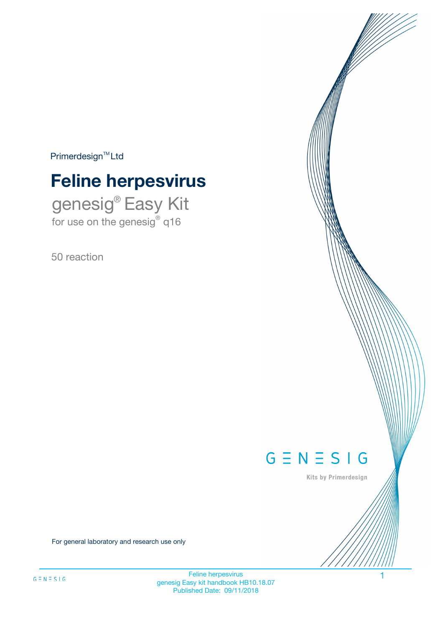$Primerdesign^{\text{TM}}Ltd$ 

# **Feline herpesvirus**

genesig® Easy Kit for use on the genesig® q16

50 reaction



Kits by Primerdesign

For general laboratory and research use only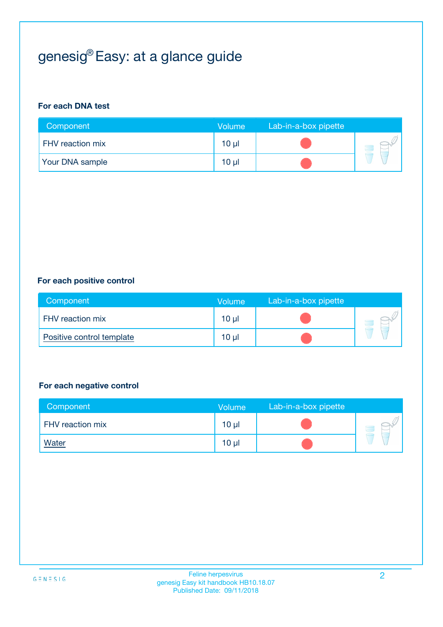# genesig® Easy: at a glance guide

#### **For each DNA test**

| Component              | <b>Volume</b>   | Lab-in-a-box pipette |  |
|------------------------|-----------------|----------------------|--|
| FHV reaction mix       | 10 <sub>µ</sub> |                      |  |
| <b>Your DNA sample</b> | $10 \mu$        |                      |  |

#### **For each positive control**

| Component                 | <b>Volume</b>   | Lab-in-a-box pipette |  |
|---------------------------|-----------------|----------------------|--|
| FHV reaction mix          | 10 <sub>µ</sub> |                      |  |
| Positive control template | $10 \mu$        |                      |  |

#### **For each negative control**

| Component        | <b>Volume</b>   | Lab-in-a-box pipette |  |
|------------------|-----------------|----------------------|--|
| FHV reaction mix | 10 <sub>µ</sub> |                      |  |
| <u>Water</u>     | 10 <sub>µ</sub> |                      |  |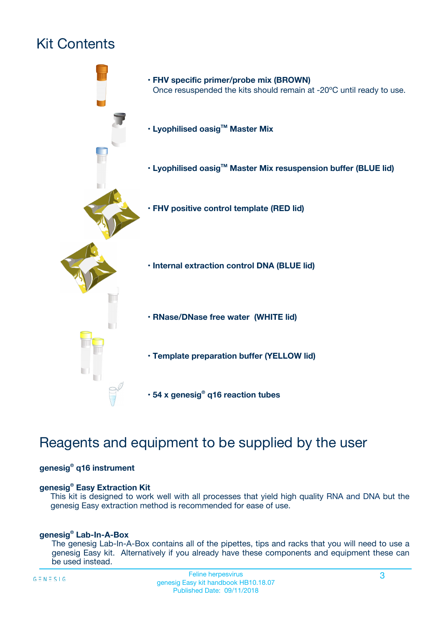# Kit Contents



## Reagents and equipment to be supplied by the user

#### **genesig® q16 instrument**

#### **genesig® Easy Extraction Kit**

This kit is designed to work well with all processes that yield high quality RNA and DNA but the genesig Easy extraction method is recommended for ease of use.

#### **genesig® Lab-In-A-Box**

The genesig Lab-In-A-Box contains all of the pipettes, tips and racks that you will need to use a genesig Easy kit. Alternatively if you already have these components and equipment these can be used instead.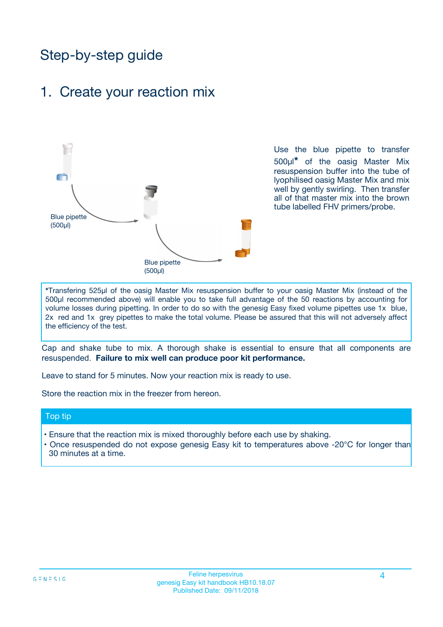## Step-by-step guide

### 1. Create your reaction mix



Use the blue pipette to transfer 500µl**\*** of the oasig Master Mix resuspension buffer into the tube of lyophilised oasig Master Mix and mix well by gently swirling. Then transfer all of that master mix into the brown tube labelled FHV primers/probe.

**\***Transfering 525µl of the oasig Master Mix resuspension buffer to your oasig Master Mix (instead of the 500µl recommended above) will enable you to take full advantage of the 50 reactions by accounting for volume losses during pipetting. In order to do so with the genesig Easy fixed volume pipettes use 1x blue, 2x red and 1x grey pipettes to make the total volume. Please be assured that this will not adversely affect the efficiency of the test.

Cap and shake tube to mix. A thorough shake is essential to ensure that all components are resuspended. **Failure to mix well can produce poor kit performance.**

Leave to stand for 5 minutes. Now your reaction mix is ready to use.

Store the reaction mix in the freezer from hereon.

#### Top tip

- Ensure that the reaction mix is mixed thoroughly before each use by shaking.
- **•** Once resuspended do not expose genesig Easy kit to temperatures above -20°C for longer than 30 minutes at a time.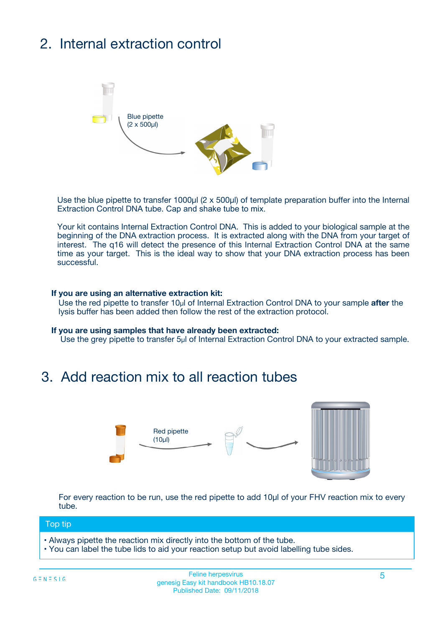# 2. Internal extraction control



Use the blue pipette to transfer 1000µl (2 x 500µl) of template preparation buffer into the Internal Extraction Control DNA tube. Cap and shake tube to mix.

Your kit contains Internal Extraction Control DNA. This is added to your biological sample at the beginning of the DNA extraction process. It is extracted along with the DNA from your target of interest. The q16 will detect the presence of this Internal Extraction Control DNA at the same time as your target. This is the ideal way to show that your DNA extraction process has been **successful.** 

#### **If you are using an alternative extraction kit:**

Use the red pipette to transfer 10µl of Internal Extraction Control DNA to your sample **after** the lysis buffer has been added then follow the rest of the extraction protocol.

#### **If you are using samples that have already been extracted:**

Use the grey pipette to transfer 5µl of Internal Extraction Control DNA to your extracted sample.

### 3. Add reaction mix to all reaction tubes



For every reaction to be run, use the red pipette to add 10µl of your FHV reaction mix to every tube.

#### Top tip

- Always pipette the reaction mix directly into the bottom of the tube.
- You can label the tube lids to aid your reaction setup but avoid labelling tube sides.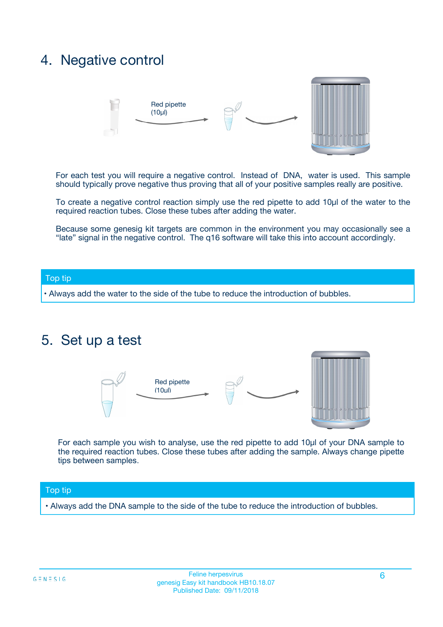## 4. Negative control



For each test you will require a negative control. Instead of DNA, water is used. This sample should typically prove negative thus proving that all of your positive samples really are positive.

To create a negative control reaction simply use the red pipette to add 10µl of the water to the required reaction tubes. Close these tubes after adding the water.

Because some genesig kit targets are common in the environment you may occasionally see a "late" signal in the negative control. The q16 software will take this into account accordingly.

#### Top tip

**•** Always add the water to the side of the tube to reduce the introduction of bubbles.

### 5. Set up a test



For each sample you wish to analyse, use the red pipette to add 10µl of your DNA sample to the required reaction tubes. Close these tubes after adding the sample. Always change pipette tips between samples.

#### Top tip

**•** Always add the DNA sample to the side of the tube to reduce the introduction of bubbles.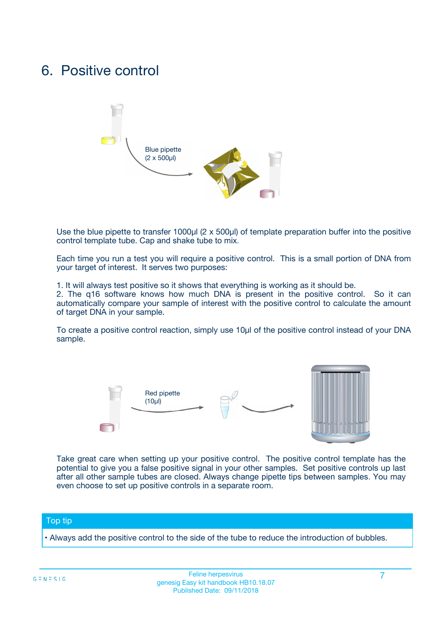### 6. Positive control



Use the blue pipette to transfer 1000µl (2 x 500µl) of template preparation buffer into the positive control template tube. Cap and shake tube to mix.

Each time you run a test you will require a positive control. This is a small portion of DNA from your target of interest. It serves two purposes:

1. It will always test positive so it shows that everything is working as it should be.

2. The q16 software knows how much DNA is present in the positive control. So it can automatically compare your sample of interest with the positive control to calculate the amount of target DNA in your sample.

To create a positive control reaction, simply use 10µl of the positive control instead of your DNA sample.



Take great care when setting up your positive control. The positive control template has the potential to give you a false positive signal in your other samples. Set positive controls up last after all other sample tubes are closed. Always change pipette tips between samples. You may even choose to set up positive controls in a separate room.

#### Top tip

**•** Always add the positive control to the side of the tube to reduce the introduction of bubbles.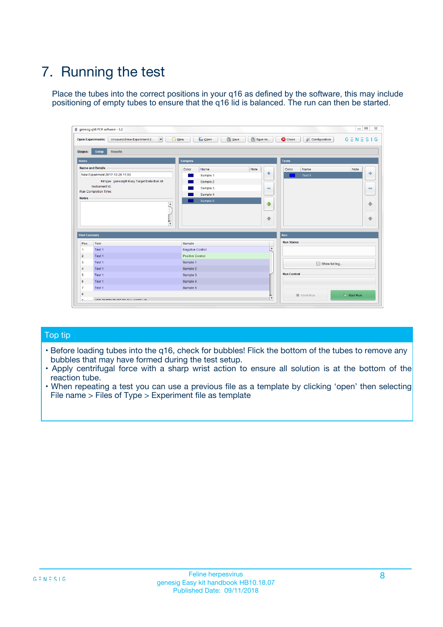# 7. Running the test

Place the tubes into the correct positions in your q16 as defined by the software, this may include positioning of empty tubes to ensure that the q16 lid is balanced. The run can then be started.

| qenesig q16 PCR software - 1.2                                               |                                   | $\Box$                                                                                          |
|------------------------------------------------------------------------------|-----------------------------------|-------------------------------------------------------------------------------------------------|
| $\vert \cdot \vert$<br>Unsaved (New Experiment 2<br><b>Open Experiments:</b> | <b>D</b> Open<br>R <sub>New</sub> | Save<br>Save As<br><b>C</b> Close<br><b>&amp; Configuration</b><br>$G \equiv N \equiv S \mid G$ |
| <b>Setup</b><br><b>Results</b><br>Stages:                                    |                                   |                                                                                                 |
| <b>Notes</b>                                                                 | <b>Samples</b>                    | <b>Tests</b>                                                                                    |
| <b>Name and Details</b>                                                      | Name<br>Color                     | Note<br>Color<br>Note<br>Name                                                                   |
| New Experiment 2017-10-26 11:06                                              | Sample 1                          | ÷<br>علي<br>Test 1                                                                              |
| Kit type: genesig® Easy Target Detection kit                                 | Sample 2                          |                                                                                                 |
| Instrument Id.:                                                              | Sample 3                          | $\qquad \qquad \blacksquare$<br>$\qquad \qquad \blacksquare$                                    |
| <b>Run Completion Time:</b>                                                  | Sample 4                          |                                                                                                 |
| <b>Notes</b><br><b>A</b><br>$\overline{\mathbf v}$                           | Sample 5                          | ♦<br>4<br>÷<br>₩                                                                                |
| <b>Well Contents</b>                                                         |                                   | <b>Run</b>                                                                                      |
| Pos.<br>Test                                                                 | Sample                            | <b>Run Status</b>                                                                               |
| Test 1<br>$\blacktriangleleft$                                               | Negative Control                  | $\blacktriangle$                                                                                |
| $\overline{2}$<br>Test 1                                                     | <b>Positive Control</b>           |                                                                                                 |
| $\overline{\mathbf{3}}$<br>Test 1                                            | Sample 1                          | Show full log                                                                                   |
| Test 1<br>4                                                                  | Sample 2                          |                                                                                                 |
| 5<br>Test 1                                                                  | Sample 3                          | <b>Run Control</b>                                                                              |
| Test 1<br>6                                                                  | Sample 4                          |                                                                                                 |
| $\overline{7}$<br>Test 1                                                     | Sample 5                          |                                                                                                 |
| 8                                                                            |                                   | $\triangleright$ Start Run<br>Abort Run                                                         |
| <b>JOD FURTY TUDE TO BUILDED IN</b>                                          |                                   | $\overline{\mathbf{v}}$                                                                         |

#### Top tip

- Before loading tubes into the q16, check for bubbles! Flick the bottom of the tubes to remove any bubbles that may have formed during the test setup.
- Apply centrifugal force with a sharp wrist action to ensure all solution is at the bottom of the reaction tube.
- When repeating a test you can use a previous file as a template by clicking 'open' then selecting File name > Files of Type > Experiment file as template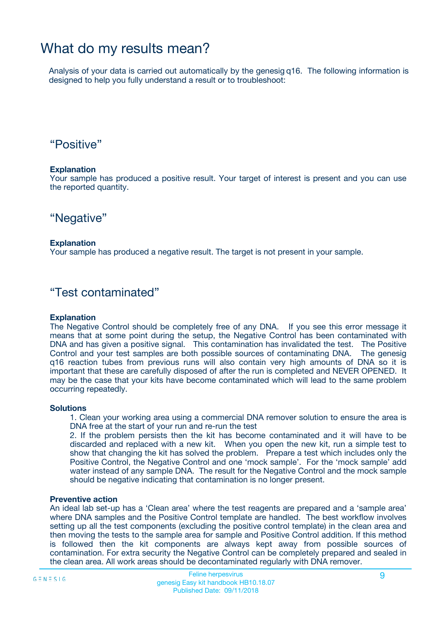## What do my results mean?

Analysis of your data is carried out automatically by the genesig q16. The following information is designed to help you fully understand a result or to troubleshoot:

### "Positive"

#### **Explanation**

Your sample has produced a positive result. Your target of interest is present and you can use the reported quantity.

"Negative"

#### **Explanation**

Your sample has produced a negative result. The target is not present in your sample.

### "Test contaminated"

#### **Explanation**

The Negative Control should be completely free of any DNA. If you see this error message it means that at some point during the setup, the Negative Control has been contaminated with DNA and has given a positive signal. This contamination has invalidated the test. The Positive Control and your test samples are both possible sources of contaminating DNA. The genesig q16 reaction tubes from previous runs will also contain very high amounts of DNA so it is important that these are carefully disposed of after the run is completed and NEVER OPENED. It may be the case that your kits have become contaminated which will lead to the same problem occurring repeatedly.

#### **Solutions**

1. Clean your working area using a commercial DNA remover solution to ensure the area is DNA free at the start of your run and re-run the test

2. If the problem persists then the kit has become contaminated and it will have to be discarded and replaced with a new kit. When you open the new kit, run a simple test to show that changing the kit has solved the problem. Prepare a test which includes only the Positive Control, the Negative Control and one 'mock sample'. For the 'mock sample' add water instead of any sample DNA. The result for the Negative Control and the mock sample should be negative indicating that contamination is no longer present.

#### **Preventive action**

An ideal lab set-up has a 'Clean area' where the test reagents are prepared and a 'sample area' where DNA samples and the Positive Control template are handled. The best workflow involves setting up all the test components (excluding the positive control template) in the clean area and then moving the tests to the sample area for sample and Positive Control addition. If this method is followed then the kit components are always kept away from possible sources of contamination. For extra security the Negative Control can be completely prepared and sealed in the clean area. All work areas should be decontaminated regularly with DNA remover.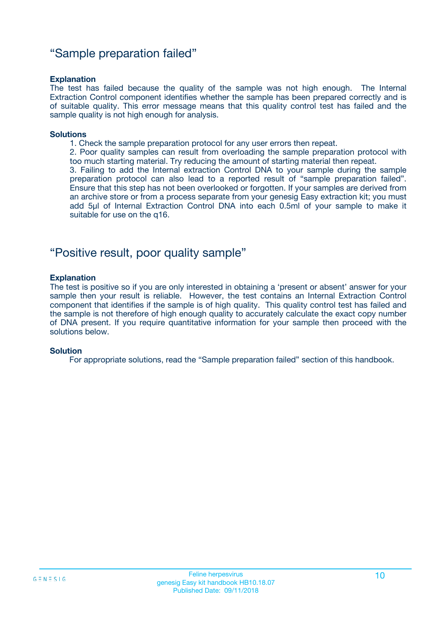### "Sample preparation failed"

#### **Explanation**

The test has failed because the quality of the sample was not high enough. The Internal Extraction Control component identifies whether the sample has been prepared correctly and is of suitable quality. This error message means that this quality control test has failed and the sample quality is not high enough for analysis.

#### **Solutions**

1. Check the sample preparation protocol for any user errors then repeat.

2. Poor quality samples can result from overloading the sample preparation protocol with too much starting material. Try reducing the amount of starting material then repeat.

3. Failing to add the Internal extraction Control DNA to your sample during the sample preparation protocol can also lead to a reported result of "sample preparation failed". Ensure that this step has not been overlooked or forgotten. If your samples are derived from an archive store or from a process separate from your genesig Easy extraction kit; you must add 5µl of Internal Extraction Control DNA into each 0.5ml of your sample to make it suitable for use on the q16.

### "Positive result, poor quality sample"

#### **Explanation**

The test is positive so if you are only interested in obtaining a 'present or absent' answer for your sample then your result is reliable. However, the test contains an Internal Extraction Control component that identifies if the sample is of high quality. This quality control test has failed and the sample is not therefore of high enough quality to accurately calculate the exact copy number of DNA present. If you require quantitative information for your sample then proceed with the solutions below.

#### **Solution**

For appropriate solutions, read the "Sample preparation failed" section of this handbook.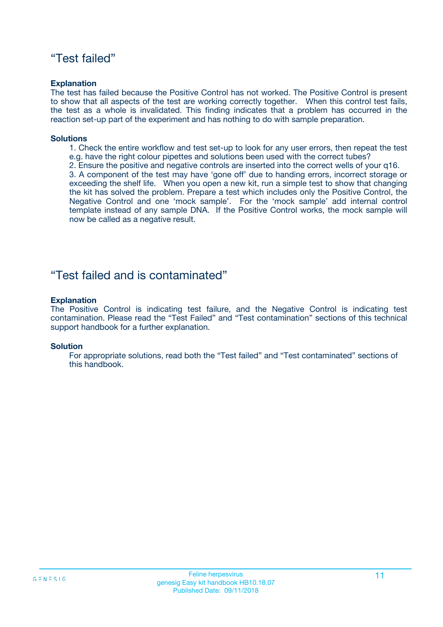### "Test failed"

#### **Explanation**

The test has failed because the Positive Control has not worked. The Positive Control is present to show that all aspects of the test are working correctly together. When this control test fails, the test as a whole is invalidated. This finding indicates that a problem has occurred in the reaction set-up part of the experiment and has nothing to do with sample preparation.

#### **Solutions**

- 1. Check the entire workflow and test set-up to look for any user errors, then repeat the test e.g. have the right colour pipettes and solutions been used with the correct tubes?
- 2. Ensure the positive and negative controls are inserted into the correct wells of your q16.

3. A component of the test may have 'gone off' due to handing errors, incorrect storage or exceeding the shelf life. When you open a new kit, run a simple test to show that changing the kit has solved the problem. Prepare a test which includes only the Positive Control, the Negative Control and one 'mock sample'. For the 'mock sample' add internal control template instead of any sample DNA. If the Positive Control works, the mock sample will now be called as a negative result.

### "Test failed and is contaminated"

#### **Explanation**

The Positive Control is indicating test failure, and the Negative Control is indicating test contamination. Please read the "Test Failed" and "Test contamination" sections of this technical support handbook for a further explanation.

#### **Solution**

For appropriate solutions, read both the "Test failed" and "Test contaminated" sections of this handbook.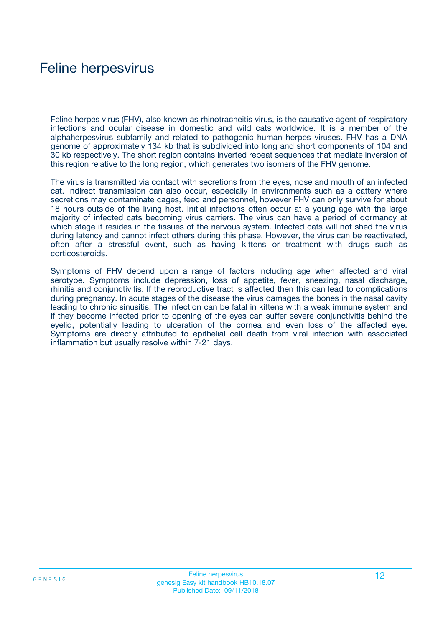## Feline herpesvirus

Feline herpes virus (FHV), also known as rhinotracheitis virus, is the causative agent of respiratory infections and ocular disease in domestic and wild cats worldwide. It is a member of the alphaherpesvirus subfamily and related to pathogenic human herpes viruses. FHV has a DNA genome of approximately 134 kb that is subdivided into long and short components of 104 and 30 kb respectively. The short region contains inverted repeat sequences that mediate inversion of this region relative to the long region, which generates two isomers of the FHV genome.

The virus is transmitted via contact with secretions from the eyes, nose and mouth of an infected cat. Indirect transmission can also occur, especially in environments such as a cattery where secretions may contaminate cages, feed and personnel, however FHV can only survive for about 18 hours outside of the living host. Initial infections often occur at a young age with the large majority of infected cats becoming virus carriers. The virus can have a period of dormancy at which stage it resides in the tissues of the nervous system. Infected cats will not shed the virus during latency and cannot infect others during this phase. However, the virus can be reactivated, often after a stressful event, such as having kittens or treatment with drugs such as corticosteroids.

Symptoms of FHV depend upon a range of factors including age when affected and viral serotype. Symptoms include depression, loss of appetite, fever, sneezing, nasal discharge, rhinitis and conjunctivitis. If the reproductive tract is affected then this can lead to complications during pregnancy. In acute stages of the disease the virus damages the bones in the nasal cavity leading to chronic sinusitis. The infection can be fatal in kittens with a weak immune system and if they become infected prior to opening of the eyes can suffer severe conjunctivitis behind the eyelid, potentially leading to ulceration of the cornea and even loss of the affected eye. Symptoms are directly attributed to epithelial cell death from viral infection with associated inflammation but usually resolve within 7-21 days.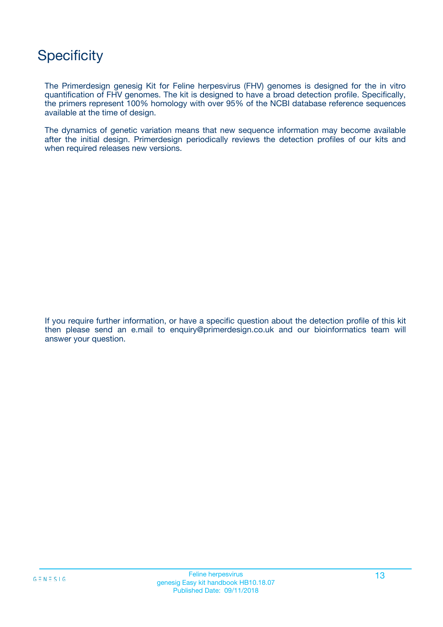## **Specificity**

The Primerdesign genesig Kit for Feline herpesvirus (FHV) genomes is designed for the in vitro quantification of FHV genomes. The kit is designed to have a broad detection profile. Specifically, the primers represent 100% homology with over 95% of the NCBI database reference sequences available at the time of design.

The dynamics of genetic variation means that new sequence information may become available after the initial design. Primerdesign periodically reviews the detection profiles of our kits and when required releases new versions.

If you require further information, or have a specific question about the detection profile of this kit then please send an e.mail to enquiry@primerdesign.co.uk and our bioinformatics team will answer your question.